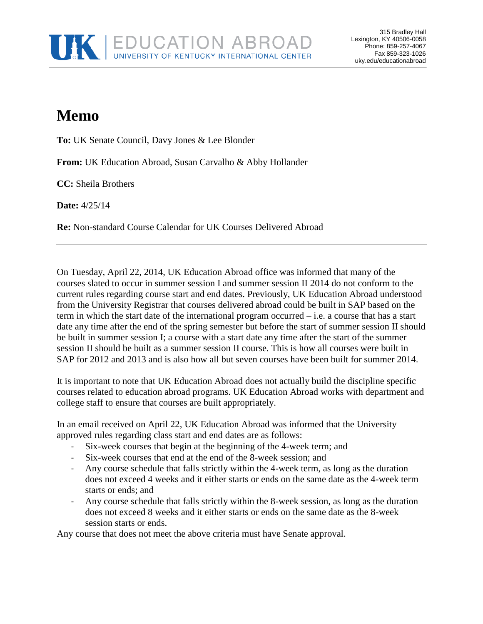

## **Memo**

**To:** UK Senate Council, Davy Jones & Lee Blonder

**From:** UK Education Abroad, Susan Carvalho & Abby Hollander

**CC:** Sheila Brothers

**Date:** 4/25/14

**Re:** Non-standard Course Calendar for UK Courses Delivered Abroad

On Tuesday, April 22, 2014, UK Education Abroad office was informed that many of the courses slated to occur in summer session I and summer session II 2014 do not conform to the current rules regarding course start and end dates. Previously, UK Education Abroad understood from the University Registrar that courses delivered abroad could be built in SAP based on the term in which the start date of the international program occurred – i.e. a course that has a start date any time after the end of the spring semester but before the start of summer session II should be built in summer session I; a course with a start date any time after the start of the summer session II should be built as a summer session II course. This is how all courses were built in SAP for 2012 and 2013 and is also how all but seven courses have been built for summer 2014.

It is important to note that UK Education Abroad does not actually build the discipline specific courses related to education abroad programs. UK Education Abroad works with department and college staff to ensure that courses are built appropriately.

In an email received on April 22, UK Education Abroad was informed that the University approved rules regarding class start and end dates are as follows:

- Six-week courses that begin at the beginning of the 4-week term; and
- Six-week courses that end at the end of the 8-week session; and
- Any course schedule that falls strictly within the 4-week term, as long as the duration does not exceed 4 weeks and it either starts or ends on the same date as the 4-week term starts or ends; and
- Any course schedule that falls strictly within the 8-week session, as long as the duration does not exceed 8 weeks and it either starts or ends on the same date as the 8-week session starts or ends.

Any course that does not meet the above criteria must have Senate approval.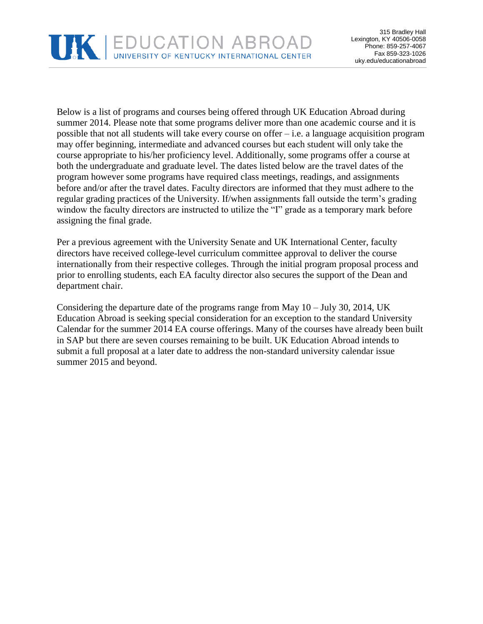

Below is a list of programs and courses being offered through UK Education Abroad during summer 2014. Please note that some programs deliver more than one academic course and it is possible that not all students will take every course on offer – i.e. a language acquisition program may offer beginning, intermediate and advanced courses but each student will only take the course appropriate to his/her proficiency level. Additionally, some programs offer a course at both the undergraduate and graduate level. The dates listed below are the travel dates of the program however some programs have required class meetings, readings, and assignments before and/or after the travel dates. Faculty directors are informed that they must adhere to the regular grading practices of the University. If/when assignments fall outside the term's grading window the faculty directors are instructed to utilize the "I" grade as a temporary mark before assigning the final grade.

Per a previous agreement with the University Senate and UK International Center, faculty directors have received college-level curriculum committee approval to deliver the course internationally from their respective colleges. Through the initial program proposal process and prior to enrolling students, each EA faculty director also secures the support of the Dean and department chair.

Considering the departure date of the programs range from May 10 – July 30, 2014, UK Education Abroad is seeking special consideration for an exception to the standard University Calendar for the summer 2014 EA course offerings. Many of the courses have already been built in SAP but there are seven courses remaining to be built. UK Education Abroad intends to submit a full proposal at a later date to address the non-standard university calendar issue summer 2015 and beyond.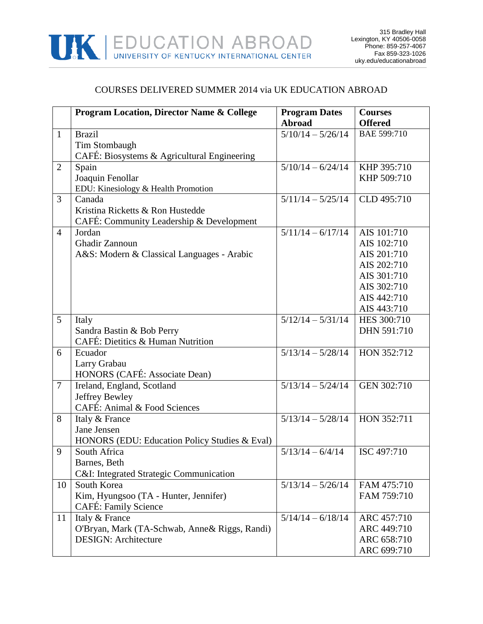

## COURSES DELIVERED SUMMER 2014 via UK EDUCATION ABROAD

|                | <b>Program Location, Director Name &amp; College</b> | <b>Program Dates</b>                | <b>Courses</b> |
|----------------|------------------------------------------------------|-------------------------------------|----------------|
|                |                                                      | <b>Abroad</b>                       | <b>Offered</b> |
| $\mathbf{1}$   | <b>Brazil</b>                                        | $\frac{5}{10}/14 - \frac{5}{26}/14$ | BAE 599:710    |
|                | Tim Stombaugh                                        |                                     |                |
|                | CAFÉ: Biosystems & Agricultural Engineering          |                                     |                |
| $\overline{2}$ | Spain                                                | $5/10/14 - 6/24/14$                 | KHP 395:710    |
|                | Joaquin Fenollar                                     |                                     | KHP 509:710    |
|                | EDU: Kinesiology & Health Promotion                  |                                     |                |
| 3              | Canada                                               | $5/11/14 - 5/25/14$                 | CLD 495:710    |
|                | Kristina Ricketts & Ron Hustedde                     |                                     |                |
|                | CAFÉ: Community Leadership & Development             |                                     |                |
| $\overline{4}$ | Jordan                                               | $5/11/14 - 6/17/14$                 | AIS 101:710    |
|                | Ghadir Zannoun                                       |                                     | AIS 102:710    |
|                | A&S: Modern & Classical Languages - Arabic           |                                     | AIS 201:710    |
|                |                                                      |                                     | AIS 202:710    |
|                |                                                      |                                     | AIS 301:710    |
|                |                                                      |                                     | AIS 302:710    |
|                |                                                      |                                     | AIS 442:710    |
|                |                                                      |                                     | AIS 443:710    |
| 5              | Italy                                                | $5/12/14 - 5/31/14$                 | HES 300:710    |
|                | Sandra Bastin & Bob Perry                            |                                     | DHN 591:710    |
|                | CAFÉ: Dietitics & Human Nutrition                    |                                     |                |
| 6              | Ecuador                                              | $5/13/14 - 5/28/14$                 | HON 352:712    |
|                | Larry Grabau                                         |                                     |                |
|                | HONORS (CAFÉ: Associate Dean)                        |                                     |                |
| $\overline{7}$ | Ireland, England, Scotland                           | $5/13/14 - 5/24/14$                 | GEN 302:710    |
|                | Jeffrey Bewley                                       |                                     |                |
|                | CAFÉ: Animal & Food Sciences                         |                                     |                |
| 8              | Italy & France                                       | $5/13/14 - 5/28/14$                 | HON 352:711    |
|                | Jane Jensen                                          |                                     |                |
|                | HONORS (EDU: Education Policy Studies & Eval)        |                                     |                |
| 9              | South Africa                                         | $5/13/14 - 6/4/14$                  | ISC 497:710    |
|                | Barnes, Beth                                         |                                     |                |
|                | C&I: Integrated Strategic Communication              |                                     |                |
| 10             | South Korea                                          | $5/13/14 - 5/26/14$                 | FAM 475:710    |
|                | Kim, Hyungsoo (TA - Hunter, Jennifer)                |                                     | FAM 759:710    |
|                | CAFÉ: Family Science                                 |                                     |                |
| 11             | Italy & France                                       | $5/14/14 - 6/18/14$                 | ARC 457:710    |
|                | O'Bryan, Mark (TA-Schwab, Anne & Riggs, Randi)       |                                     | ARC 449:710    |
|                | <b>DESIGN: Architecture</b>                          |                                     | ARC 658:710    |
|                |                                                      |                                     | ARC 699:710    |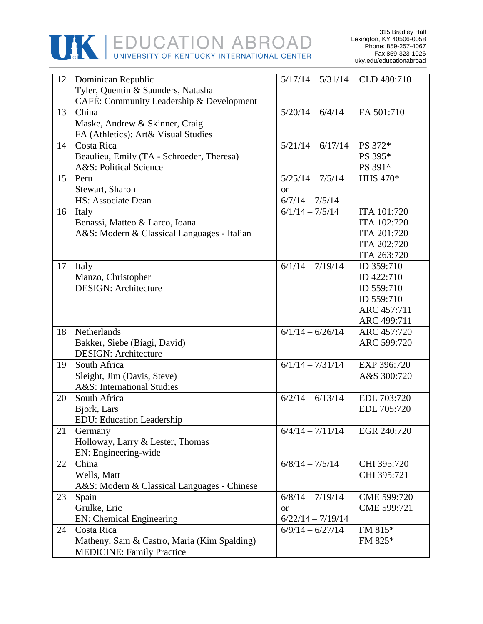

| 12 | Dominican Republic                          | $5/17/14 - 5/31/14$ | CLD 480:710 |
|----|---------------------------------------------|---------------------|-------------|
|    | Tyler, Quentin & Saunders, Natasha          |                     |             |
|    | CAFÉ: Community Leadership & Development    |                     |             |
| 13 | China                                       | $5/20/14 - 6/4/14$  | FA 501:710  |
|    |                                             |                     |             |
|    | Maske, Andrew & Skinner, Craig              |                     |             |
|    | FA (Athletics): Art& Visual Studies         |                     |             |
| 14 | Costa Rica                                  | $5/21/14 - 6/17/14$ | PS 372*     |
|    | Beaulieu, Emily (TA - Schroeder, Theresa)   |                     | PS 395*     |
|    | A&S: Political Science                      |                     | PS 391^     |
| 15 | Peru                                        | $5/25/14 - 7/5/14$  | HHS 470*    |
|    | Stewart, Sharon                             | <sub>or</sub>       |             |
|    | HS: Associate Dean                          | $6/7/14 - 7/5/14$   |             |
| 16 | Italy                                       | $6/1/14 - 7/5/14$   | ITA 101:720 |
|    | Benassi, Matteo & Larco, Ioana              |                     | ITA 102:720 |
|    | A&S: Modern & Classical Languages - Italian |                     | ITA 201:720 |
|    |                                             |                     | ITA 202:720 |
|    |                                             |                     | ITA 263:720 |
| 17 | Italy                                       | $6/1/14 - 7/19/14$  | ID 359:710  |
|    | Manzo, Christopher                          |                     | ID 422:710  |
|    | <b>DESIGN: Architecture</b>                 |                     | ID 559:710  |
|    |                                             |                     | ID 559:710  |
|    |                                             |                     | ARC 457:711 |
|    |                                             |                     | ARC 499:711 |
| 18 | Netherlands                                 | $6/1/14 - 6/26/14$  | ARC 457:720 |
|    | Bakker, Siebe (Biagi, David)                |                     | ARC 599:720 |
|    | <b>DESIGN: Architecture</b>                 |                     |             |
| 19 | South Africa                                | $6/1/14 - 7/31/14$  | EXP 396:720 |
|    | Sleight, Jim (Davis, Steve)                 |                     | A&S 300:720 |
|    | A&S: International Studies                  |                     |             |
| 20 | South Africa                                | $6/2/14 - 6/13/14$  | EDL 703:720 |
|    | Bjork, Lars                                 |                     | EDL 705:720 |
|    | <b>EDU:</b> Education Leadership            |                     |             |
| 21 | Germany                                     | $6/4/14 - 7/11/14$  | EGR 240:720 |
|    | Holloway, Larry & Lester, Thomas            |                     |             |
|    | EN: Engineering-wide                        |                     |             |
| 22 | China                                       | $6/8/14 - 7/5/14$   | CHI 395:720 |
|    | Wells, Matt                                 |                     | CHI 395:721 |
|    |                                             |                     |             |
|    | A&S: Modern & Classical Languages - Chinese |                     | CME 599:720 |
| 23 | Spain                                       | $6/8/14 - 7/19/14$  |             |
|    | Grulke, Eric                                | <b>or</b>           | CME 599:721 |
|    | <b>EN:</b> Chemical Engineering             | $6/22/14 - 7/19/14$ |             |
| 24 | Costa Rica                                  | $6/9/14 - 6/27/14$  | FM 815*     |
|    | Matheny, Sam & Castro, Maria (Kim Spalding) |                     | FM 825*     |
|    | <b>MEDICINE: Family Practice</b>            |                     |             |